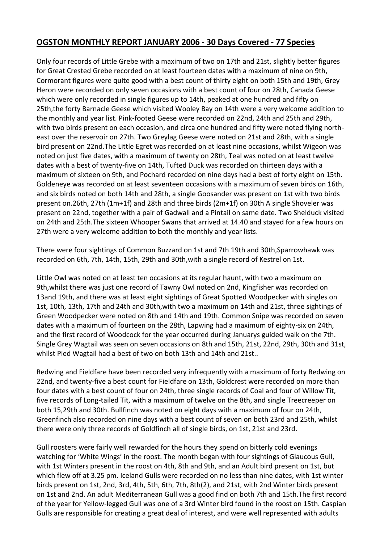## **OGSTON MONTHLY REPORT JANUARY 2006 - 30 Days Covered - 77 Species**

Only four records of Little Grebe with a maximum of two on 17th and 21st, slightly better figures for Great Crested Grebe recorded on at least fourteen dates with a maximum of nine on 9th, Cormorant figures were quite good with a best count of thirty eight on both 15th and 19th, Grey Heron were recorded on only seven occasions with a best count of four on 28th, Canada Geese which were only recorded in single figures up to 14th, peaked at one hundred and fifty on 25th,the forty Barnacle Geese which visited Wooley Bay on 14th were a very welcome addition to the monthly and year list. Pink-footed Geese were recorded on 22nd, 24th and 25th and 29th, with two birds present on each occasion, and circa one hundred and fifty were noted flying northeast over the reservoir on 27th. Two Greylag Geese were noted on 21st and 28th, with a single bird present on 22nd.The Little Egret was recorded on at least nine occasions, whilst Wigeon was noted on just five dates, with a maximum of twenty on 28th, Teal was noted on at least twelve dates with a best of twenty-five on 14th, Tufted Duck was recorded on thirteen days with a maximum of sixteen on 9th, and Pochard recorded on nine days had a best of forty eight on 15th. Goldeneye was recorded on at least seventeen occasions with a maximum of seven birds on 16th, and six birds noted on both 14th and 28th, a single Goosander was present on 1st with two birds present on.26th, 27th (1m+1f) and 28th and three birds (2m+1f) on 30th A single Shoveler was present on 22nd, together with a pair of Gadwall and a Pintail on same date. Two Shelduck visited on 24th and 25th.The sixteen Whooper Swans that arrived at 14.40 and stayed for a few hours on 27th were a very welcome addition to both the monthly and year lists.

There were four sightings of Common Buzzard on 1st and 7th 19th and 30th,Sparrowhawk was recorded on 6th, 7th, 14th, 15th, 29th and 30th,with a single record of Kestrel on 1st.

Little Owl was noted on at least ten occasions at its regular haunt, with two a maximum on 9th,whilst there was just one record of Tawny Owl noted on 2nd, Kingfisher was recorded on 13and 19th, and there was at least eight sightings of Great Spotted Woodpecker with singles on 1st, 10th, 13th, 17th and 24th and 30th,with two a maximum on 14th and 21st, three sightings of Green Woodpecker were noted on 8th and 14th and 19th. Common Snipe was recorded on seven dates with a maximum of fourteen on the 28th, Lapwing had a maximum of eighty-six on 24th, and the first record of Woodcock for the year occurred during Januarys guided walk on the 7th. Single Grey Wagtail was seen on seven occasions on 8th and 15th, 21st, 22nd, 29th, 30th and 31st, whilst Pied Wagtail had a best of two on both 13th and 14th and 21st..

Redwing and Fieldfare have been recorded very infrequently with a maximum of forty Redwing on 22nd, and twenty-five a best count for Fieldfare on 13th, Goldcrest were recorded on more than four dates with a best count of four on 24th, three single records of Coal and four of Willow Tit, five records of Long-tailed Tit, with a maximum of twelve on the 8th, and single Treecreeper on both 15,29th and 30th. Bullfinch was noted on eight days with a maximum of four on 24th, Greenfinch also recorded on nine days with a best count of seven on both 23rd and 25th, whilst there were only three records of Goldfinch all of single birds, on 1st, 21st and 23rd.

Gull roosters were fairly well rewarded for the hours they spend on bitterly cold evenings watching for 'White Wings' in the roost. The month began with four sightings of Glaucous Gull, with 1st Winters present in the roost on 4th, 8th and 9th, and an Adult bird present on 1st, but which flew off at 3.25 pm. Iceland Gulls were recorded on no less than nine dates, with 1st winter birds present on 1st, 2nd, 3rd, 4th, 5th, 6th, 7th, 8th(2), and 21st, with 2nd Winter birds present on 1st and 2nd. An adult Mediterranean Gull was a good find on both 7th and 15th.The first record of the year for Yellow-legged Gull was one of a 3rd Winter bird found in the roost on 15th. Caspian Gulls are responsible for creating a great deal of interest, and were well represented with adults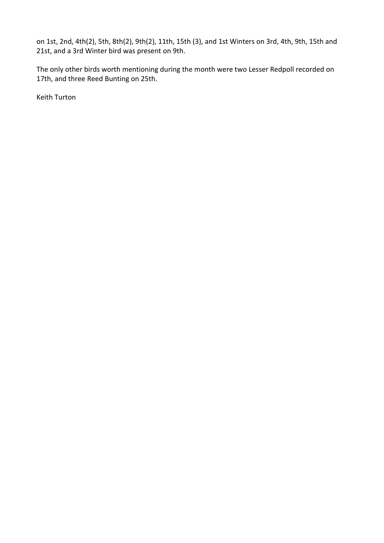on 1st, 2nd, 4th(2), 5th, 8th(2), 9th(2), 11th, 15th (3), and 1st Winters on 3rd, 4th, 9th, 15th and 21st, and a 3rd Winter bird was present on 9th.

The only other birds worth mentioning during the month were two Lesser Redpoll recorded on 17th, and three Reed Bunting on 25th.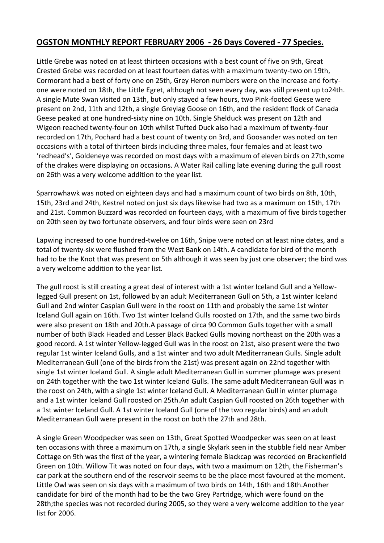# **OGSTON MONTHLY REPORT FEBRUARY 2006 - 26 Days Covered - 77 Species.**

Little Grebe was noted on at least thirteen occasions with a best count of five on 9th, Great Crested Grebe was recorded on at least fourteen dates with a maximum twenty-two on 19th, Cormorant had a best of forty one on 25th, Grey Heron numbers were on the increase and fortyone were noted on 18th, the Little Egret, although not seen every day, was still present up to24th. A single Mute Swan visited on 13th, but only stayed a few hours, two Pink-footed Geese were present on 2nd, 11th and 12th, a single Greylag Goose on 16th, and the resident flock of Canada Geese peaked at one hundred-sixty nine on 10th. Single Shelduck was present on 12th and Wigeon reached twenty-four on 10th whilst Tufted Duck also had a maximum of twenty-four recorded on 17th, Pochard had a best count of twenty on 3rd, and Goosander was noted on ten occasions with a total of thirteen birds including three males, four females and at least two 'redhead's', Goldeneye was recorded on most days with a maximum of eleven birds on 27th,some of the drakes were displaying on occasions. A Water Rail calling late evening during the gull roost on 26th was a very welcome addition to the year list.

Sparrowhawk was noted on eighteen days and had a maximum count of two birds on 8th, 10th, 15th, 23rd and 24th, Kestrel noted on just six days likewise had two as a maximum on 15th, 17th and 21st. Common Buzzard was recorded on fourteen days, with a maximum of five birds together on 20th seen by two fortunate observers, and four birds were seen on 23rd

Lapwing increased to one hundred-twelve on 16th, Snipe were noted on at least nine dates, and a total of twenty-six were flushed from the West Bank on 14th. A candidate for bird of the month had to be the Knot that was present on 5th although it was seen by just one observer; the bird was a very welcome addition to the year list.

The gull roost is still creating a great deal of interest with a 1st winter Iceland Gull and a Yellowlegged Gull present on 1st, followed by an adult Mediterranean Gull on 5th, a 1st winter Iceland Gull and 2nd winter Caspian Gull were in the roost on 11th and probably the same 1st winter Iceland Gull again on 16th. Two 1st winter Iceland Gulls roosted on 17th, and the same two birds were also present on 18th and 20th.A passage of circa 90 Common Gulls together with a small number of both Black Headed and Lesser Black Backed Gulls moving northeast on the 20th was a good record. A 1st winter Yellow-legged Gull was in the roost on 21st, also present were the two regular 1st winter Iceland Gulls, and a 1st winter and two adult Mediterranean Gulls. Single adult Mediterranean Gull (one of the birds from the 21st) was present again on 22nd together with single 1st winter Iceland Gull. A single adult Mediterranean Gull in summer plumage was present on 24th together with the two 1st winter Iceland Gulls. The same adult Mediterranean Gull was in the roost on 24th, with a single 1st winter Iceland Gull. A Mediterranean Gull in winter plumage and a 1st winter Iceland Gull roosted on 25th.An adult Caspian Gull roosted on 26th together with a 1st winter Iceland Gull. A 1st winter Iceland Gull (one of the two regular birds) and an adult Mediterranean Gull were present in the roost on both the 27th and 28th.

A single Green Woodpecker was seen on 13th, Great Spotted Woodpecker was seen on at least ten occasions with three a maximum on 17th, a single Skylark seen in the stubble field near Amber Cottage on 9th was the first of the year, a wintering female Blackcap was recorded on Brackenfield Green on 10th. Willow Tit was noted on four days, with two a maximum on 12th, the Fisherman's car park at the southern end of the reservoir seems to be the place most favoured at the moment. Little Owl was seen on six days with a maximum of two birds on 14th, 16th and 18th.Another candidate for bird of the month had to be the two Grey Partridge, which were found on the 28th;the species was not recorded during 2005, so they were a very welcome addition to the year list for 2006.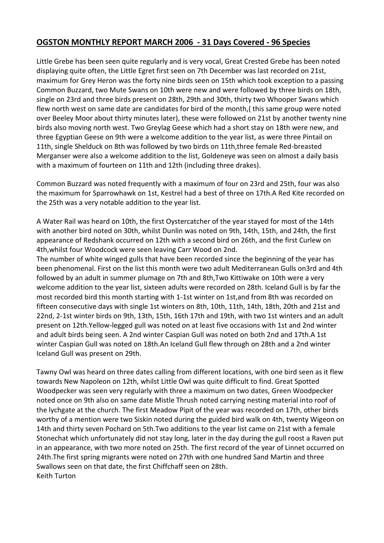# **OGSTON MONTHLY REPORT MARCH 2006 - 31 Days Covered - 96 Species**

Little Grebe has been seen quite regularly and is very vocal, Great Crested Grebe has been noted displaying quite often, the Little Egret first seen on 7th December was last recorded on 21st, maximum for Grey Heron was the forty nine birds seen on 15th which took exception to a passing Common Buzzard, two Mute Swans on 10th were new and were followed by three birds on 18th, single on 23rd and three birds present on 28th, 29th and 30th, thirty two Whooper Swans which flew north west on same date are candidates for bird of the month,( this same group were noted over Beeley Moor about thirty minutes later), these were followed on 21st by another twenty nine birds also moving north west. Two Greylag Geese which had a short stay on 18th were new, and three Egyptian Geese on 9th were a welcome addition to the year list, as were three Pintail on 11th, single Shelduck on 8th was followed by two birds on 11th,three female Red-breasted Merganser were also a welcome addition to the list, Goldeneye was seen on almost a daily basis with a maximum of fourteen on 11th and 12th (including three drakes).

Common Buzzard was noted frequently with a maximum of four on 23rd and 25th, four was also the maximum for Sparrowhawk on 1st, Kestrel had a best of three on 17th.A Red Kite recorded on the 25th was a very notable addition to the year list.

A Water Rail was heard on 10th, the first Oystercatcher of the year stayed for most of the 14th with another bird noted on 30th, whilst Dunlin was noted on 9th, 14th, 15th, and 24th, the first appearance of Redshank occurred on 12th with a second bird on 26th, and the first Curlew on 4th,whilst four Woodcock were seen leaving Carr Wood on 2nd.

The number of white winged gulls that have been recorded since the beginning of the year has been phenomenal. First on the list this month were two adult Mediterranean Gulls on3rd and 4th followed by an adult in summer plumage on 7th and 8th,Two Kittiwake on 10th were a very welcome addition to the year list, sixteen adults were recorded on 28th. Iceland Gull is by far the most recorded bird this month starting with 1-1st winter on 1st,and from 8th was recorded on fifteen consecutive days with single 1st winters on 8th, 10th, 11th, 14th, 18th, 20th and 21st and 22nd, 2-1st winter birds on 9th, 13th, 15th, 16th 17th and 19th, with two 1st winters and an adult present on 12th.Yellow-legged gull was noted on at least five occasions with 1st and 2nd winter and adult birds being seen. A 2nd winter Caspian Gull was noted on both 2nd and 17th.A 1st winter Caspian Gull was noted on 18th.An Iceland Gull flew through on 28th and a 2nd winter Iceland Gull was present on 29th.

Tawny Owl was heard on three dates calling from different locations, with one bird seen as it flew towards New Napoleon on 12th, whilst Little Owl was quite difficult to find. Great Spotted Woodpecker was seen very regularly with three a maximum on two dates, Green Woodpecker noted once on 9th also on same date Mistle Thrush noted carrying nesting material into roof of the lychgate at the church. The first Meadow Pipit of the year was recorded on 17th, other birds worthy of a mention were two Siskin noted during the guided bird walk on 4th, twenty Wigeon on 14th and thirty seven Pochard on 5th.Two additions to the year list came on 21st with a female Stonechat which unfortunately did not stay long, later in the day during the gull roost a Raven put in an appearance, with two more noted on 25th. The first record of the year of Linnet occurred on 24th.The first spring migrants were noted on 27th with one hundred Sand Martin and three Swallows seen on that date, the first Chiffchaff seen on 28th. Keith Turton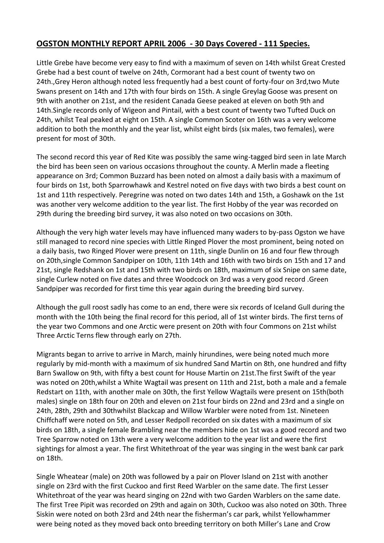#### **OGSTON MONTHLY REPORT APRIL 2006 - 30 Days Covered - 111 Species.**

Little Grebe have become very easy to find with a maximum of seven on 14th whilst Great Crested Grebe had a best count of twelve on 24th, Cormorant had a best count of twenty two on 24th.,Grey Heron although noted less frequently had a best count of forty-four on 3rd,two Mute Swans present on 14th and 17th with four birds on 15th. A single Greylag Goose was present on 9th with another on 21st, and the resident Canada Geese peaked at eleven on both 9th and 14th.Single records only of Wigeon and Pintail, with a best count of twenty two Tufted Duck on 24th, whilst Teal peaked at eight on 15th. A single Common Scoter on 16th was a very welcome addition to both the monthly and the year list, whilst eight birds (six males, two females), were present for most of 30th.

The second record this year of Red Kite was possibly the same wing-tagged bird seen in late March the bird has been seen on various occasions throughout the county. A Merlin made a fleeting appearance on 3rd; Common Buzzard has been noted on almost a daily basis with a maximum of four birds on 1st, both Sparrowhawk and Kestrel noted on five days with two birds a best count on 1st and 11th respectively. Peregrine was noted on two dates 14th and 15th, a Goshawk on the 1st was another very welcome addition to the year list. The first Hobby of the year was recorded on 29th during the breeding bird survey, it was also noted on two occasions on 30th.

Although the very high water levels may have influenced many waders to by-pass Ogston we have still managed to record nine species with Little Ringed Plover the most prominent, being noted on a daily basis, two Ringed Plover were present on 11th, single Dunlin on 16 and four flew through on 20th,single Common Sandpiper on 10th, 11th 14th and 16th with two birds on 15th and 17 and 21st, single Redshank on 1st and 15th with two birds on 18th, maximum of six Snipe on same date, single Curlew noted on five dates and three Woodcock on 3rd was a very good record .Green Sandpiper was recorded for first time this year again during the breeding bird survey.

Although the gull roost sadly has come to an end, there were six records of Iceland Gull during the month with the 10th being the final record for this period, all of 1st winter birds. The first terns of the year two Commons and one Arctic were present on 20th with four Commons on 21st whilst Three Arctic Terns flew through early on 27th.

Migrants began to arrive to arrive in March, mainly hirundines, were being noted much more regularly by mid-month with a maximum of six hundred Sand Martin on 8th, one hundred and fifty Barn Swallow on 9th, with fifty a best count for House Martin on 21st.The first Swift of the year was noted on 20th,whilst a White Wagtail was present on 11th and 21st, both a male and a female Redstart on 11th, with another male on 30th, the first Yellow Wagtails were present on 15th(both males) single on 18th four on 20th and eleven on 21st four birds on 22nd and 23rd and a single on 24th, 28th, 29th and 30thwhilst Blackcap and Willow Warbler were noted from 1st. Nineteen Chiffchaff were noted on 5th, and Lesser Redpoll recorded on six dates with a maximum of six birds on 18th, a single female Brambling near the members hide on 1st was a good record and two Tree Sparrow noted on 13th were a very welcome addition to the year list and were the first sightings for almost a year. The first Whitethroat of the year was singing in the west bank car park on 18th.

Single Wheatear (male) on 20th was followed by a pair on Plover Island on 21st with another single on 23rd with the first Cuckoo and first Reed Warbler on the same date. The first Lesser Whitethroat of the year was heard singing on 22nd with two Garden Warblers on the same date. The first Tree Pipit was recorded on 29th and again on 30th, Cuckoo was also noted on 30th. Three Siskin were noted on both 23rd and 24th near the fisherman's car park, whilst Yellowhammer were being noted as they moved back onto breeding territory on both Miller's Lane and Crow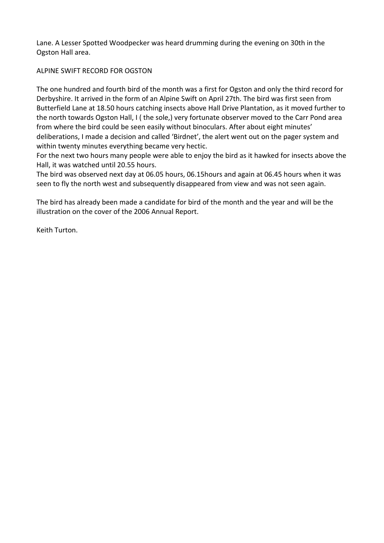Lane. A Lesser Spotted Woodpecker was heard drumming during the evening on 30th in the Ogston Hall area.

#### ALPINE SWIFT RECORD FOR OGSTON

The one hundred and fourth bird of the month was a first for Ogston and only the third record for Derbyshire. It arrived in the form of an Alpine Swift on April 27th. The bird was first seen from Butterfield Lane at 18.50 hours catching insects above Hall Drive Plantation, as it moved further to the north towards Ogston Hall, I ( the sole,) very fortunate observer moved to the Carr Pond area from where the bird could be seen easily without binoculars. After about eight minutes' deliberations, I made a decision and called 'Birdnet', the alert went out on the pager system and within twenty minutes everything became very hectic.

For the next two hours many people were able to enjoy the bird as it hawked for insects above the Hall, it was watched until 20.55 hours.

The bird was observed next day at 06.05 hours, 06.15hours and again at 06.45 hours when it was seen to fly the north west and subsequently disappeared from view and was not seen again.

The bird has already been made a candidate for bird of the month and the year and will be the illustration on the cover of the 2006 Annual Report.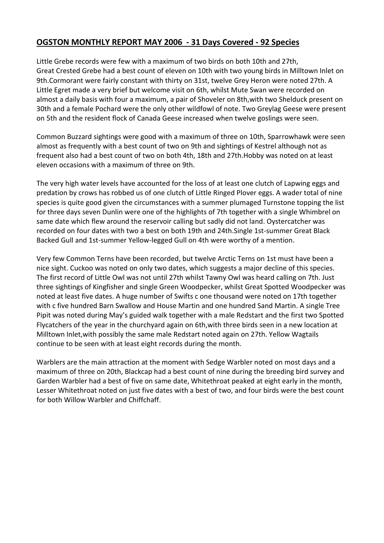### **OGSTON MONTHLY REPORT MAY 2006 - 31 Days Covered - 92 Species**

Little Grebe records were few with a maximum of two birds on both 10th and 27th, Great Crested Grebe had a best count of eleven on 10th with two young birds in Milltown Inlet on 9th.Cormorant were fairly constant with thirty on 31st, twelve Grey Heron were noted 27th. A Little Egret made a very brief but welcome visit on 6th, whilst Mute Swan were recorded on almost a daily basis with four a maximum, a pair of Shoveler on 8th,with two Shelduck present on 30th and a female Pochard were the only other wildfowl of note. Two Greylag Geese were present on 5th and the resident flock of Canada Geese increased when twelve goslings were seen.

Common Buzzard sightings were good with a maximum of three on 10th, Sparrowhawk were seen almost as frequently with a best count of two on 9th and sightings of Kestrel although not as frequent also had a best count of two on both 4th, 18th and 27th.Hobby was noted on at least eleven occasions with a maximum of three on 9th.

The very high water levels have accounted for the loss of at least one clutch of Lapwing eggs and predation by crows has robbed us of one clutch of Little Ringed Plover eggs. A wader total of nine species is quite good given the circumstances with a summer plumaged Turnstone topping the list for three days seven Dunlin were one of the highlights of 7th together with a single Whimbrel on same date which flew around the reservoir calling but sadly did not land. Oystercatcher was recorded on four dates with two a best on both 19th and 24th.Single 1st-summer Great Black Backed Gull and 1st-summer Yellow-legged Gull on 4th were worthy of a mention.

Very few Common Terns have been recorded, but twelve Arctic Terns on 1st must have been a nice sight. Cuckoo was noted on only two dates, which suggests a major decline of this species. The first record of Little Owl was not until 27th whilst Tawny Owl was heard calling on 7th. Just three sightings of Kingfisher and single Green Woodpecker, whilst Great Spotted Woodpecker was noted at least five dates. A huge number of Swifts c one thousand were noted on 17th together with c five hundred Barn Swallow and House Martin and one hundred Sand Martin. A single Tree Pipit was noted during May's guided walk together with a male Redstart and the first two Spotted Flycatchers of the year in the churchyard again on 6th,with three birds seen in a new location at Milltown Inlet,with possibly the same male Redstart noted again on 27th. Yellow Wagtails continue to be seen with at least eight records during the month.

Warblers are the main attraction at the moment with Sedge Warbler noted on most days and a maximum of three on 20th, Blackcap had a best count of nine during the breeding bird survey and Garden Warbler had a best of five on same date, Whitethroat peaked at eight early in the month, Lesser Whitethroat noted on just five dates with a best of two, and four birds were the best count for both Willow Warbler and Chiffchaff.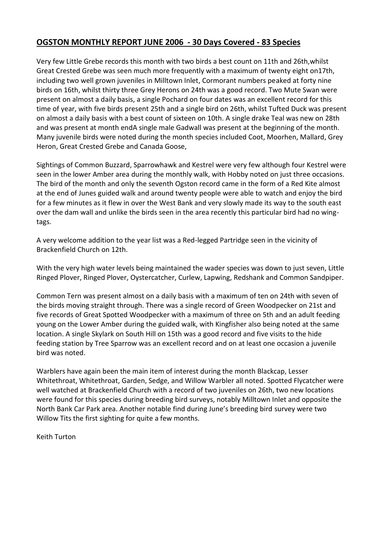# **OGSTON MONTHLY REPORT JUNE 2006 - 30 Days Covered - 83 Species**

Very few Little Grebe records this month with two birds a best count on 11th and 26th,whilst Great Crested Grebe was seen much more frequently with a maximum of twenty eight on17th, including two well grown juveniles in Milltown Inlet, Cormorant numbers peaked at forty nine birds on 16th, whilst thirty three Grey Herons on 24th was a good record. Two Mute Swan were present on almost a daily basis, a single Pochard on four dates was an excellent record for this time of year, with five birds present 25th and a single bird on 26th, whilst Tufted Duck was present on almost a daily basis with a best count of sixteen on 10th. A single drake Teal was new on 28th and was present at month endA single male Gadwall was present at the beginning of the month. Many juvenile birds were noted during the month species included Coot, Moorhen, Mallard, Grey Heron, Great Crested Grebe and Canada Goose,

Sightings of Common Buzzard, Sparrowhawk and Kestrel were very few although four Kestrel were seen in the lower Amber area during the monthly walk, with Hobby noted on just three occasions. The bird of the month and only the seventh Ogston record came in the form of a Red Kite almost at the end of Junes guided walk and around twenty people were able to watch and enjoy the bird for a few minutes as it flew in over the West Bank and very slowly made its way to the south east over the dam wall and unlike the birds seen in the area recently this particular bird had no wingtags.

A very welcome addition to the year list was a Red-legged Partridge seen in the vicinity of Brackenfield Church on 12th.

With the very high water levels being maintained the wader species was down to just seven, Little Ringed Plover, Ringed Plover, Oystercatcher, Curlew, Lapwing, Redshank and Common Sandpiper.

Common Tern was present almost on a daily basis with a maximum of ten on 24th with seven of the birds moving straight through. There was a single record of Green Woodpecker on 21st and five records of Great Spotted Woodpecker with a maximum of three on 5th and an adult feeding young on the Lower Amber during the guided walk, with Kingfisher also being noted at the same location. A single Skylark on South Hill on 15th was a good record and five visits to the hide feeding station by Tree Sparrow was an excellent record and on at least one occasion a juvenile bird was noted.

Warblers have again been the main item of interest during the month Blackcap, Lesser Whitethroat, Whitethroat, Garden, Sedge, and Willow Warbler all noted. Spotted Flycatcher were well watched at Brackenfield Church with a record of two juveniles on 26th, two new locations were found for this species during breeding bird surveys, notably Milltown Inlet and opposite the North Bank Car Park area. Another notable find during June's breeding bird survey were two Willow Tits the first sighting for quite a few months.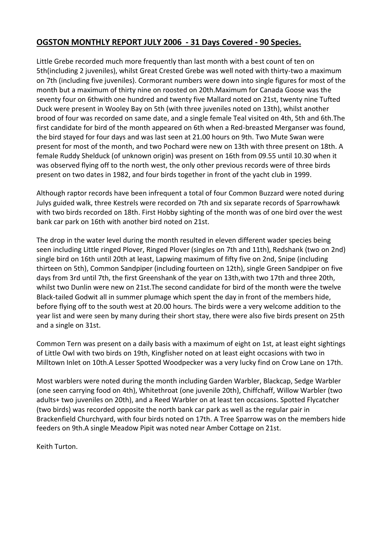# **OGSTON MONTHLY REPORT JULY 2006 - 31 Days Covered - 90 Species.**

Little Grebe recorded much more frequently than last month with a best count of ten on 5th(including 2 juveniles), whilst Great Crested Grebe was well noted with thirty-two a maximum on 7th (including five juveniles). Cormorant numbers were down into single figures for most of the month but a maximum of thirty nine on roosted on 20th.Maximum for Canada Goose was the seventy four on 6thwith one hundred and twenty five Mallard noted on 21st, twenty nine Tufted Duck were present in Wooley Bay on 5th (with three juveniles noted on 13th), whilst another brood of four was recorded on same date, and a single female Teal visited on 4th, 5th and 6th.The first candidate for bird of the month appeared on 6th when a Red-breasted Merganser was found, the bird stayed for four days and was last seen at 21.00 hours on 9th. Two Mute Swan were present for most of the month, and two Pochard were new on 13th with three present on 18th. A female Ruddy Shelduck (of unknown origin) was present on 16th from 09.55 until 10.30 when it was observed flying off to the north west, the only other previous records were of three birds present on two dates in 1982, and four birds together in front of the yacht club in 1999.

Although raptor records have been infrequent a total of four Common Buzzard were noted during Julys guided walk, three Kestrels were recorded on 7th and six separate records of Sparrowhawk with two birds recorded on 18th. First Hobby sighting of the month was of one bird over the west bank car park on 16th with another bird noted on 21st.

The drop in the water level during the month resulted in eleven different wader species being seen including Little ringed Plover, Ringed Plover (singles on 7th and 11th), Redshank (two on 2nd) single bird on 16th until 20th at least, Lapwing maximum of fifty five on 2nd, Snipe (including thirteen on 5th), Common Sandpiper (including fourteen on 12th), single Green Sandpiper on five days from 3rd until 7th, the first Greenshank of the year on 13th,with two 17th and three 20th, whilst two Dunlin were new on 21st.The second candidate for bird of the month were the twelve Black-tailed Godwit all in summer plumage which spent the day in front of the members hide, before flying off to the south west at 20.00 hours. The birds were a very welcome addition to the year list and were seen by many during their short stay, there were also five birds present on 25th and a single on 31st.

Common Tern was present on a daily basis with a maximum of eight on 1st, at least eight sightings of Little Owl with two birds on 19th, Kingfisher noted on at least eight occasions with two in Milltown Inlet on 10th.A Lesser Spotted Woodpecker was a very lucky find on Crow Lane on 17th.

Most warblers were noted during the month including Garden Warbler, Blackcap, Sedge Warbler (one seen carrying food on 4th), Whitethroat (one juvenile 20th), Chiffchaff, Willow Warbler (two adults+ two juveniles on 20th), and a Reed Warbler on at least ten occasions. Spotted Flycatcher (two birds) was recorded opposite the north bank car park as well as the regular pair in Brackenfield Churchyard, with four birds noted on 17th. A Tree Sparrow was on the members hide feeders on 9th.A single Meadow Pipit was noted near Amber Cottage on 21st.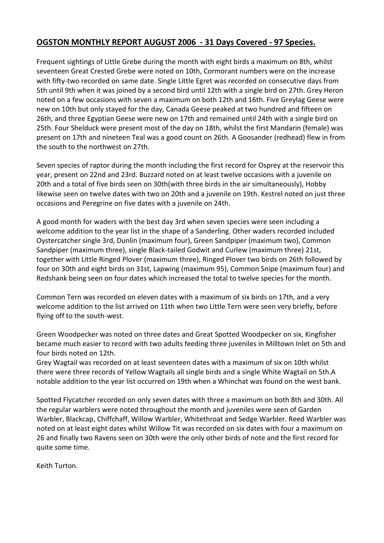# **OGSTON MONTHLY REPORT AUGUST 2006 - 31 Days Covered - 97 Species.**

Frequent sightings of Little Grebe during the month with eight birds a maximum on 8th, whilst seventeen Great Crested Grebe were noted on 10th, Cormorant numbers were on the increase with fifty-two recorded on same date. Single Little Egret was recorded on consecutive days from 5th until 9th when it was joined by a second bird until 12th with a single bird on 27th. Grey Heron noted on a few occasions with seven a maximum on both 12th and 16th. Five Greylag Geese were new on 10th but only stayed for the day, Canada Geese peaked at two hundred and fifteen on 26th, and three Egyptian Geese were new on 17th and remained until 24th with a single bird on 25th. Four Shelduck were present most of the day on 18th, whilst the first Mandarin (female) was present on 17th and nineteen Teal was a good count on 26th. A Goosander (redhead) flew in from the south to the northwest on 27th.

Seven species of raptor during the month including the first record for Osprey at the reservoir this year, present on 22nd and 23rd. Buzzard noted on at least twelve occasions with a juvenile on 20th and a total of five birds seen on 30th(with three birds in the air simultaneously), Hobby likewise seen on twelve dates with two on 20th and a juvenile on 19th. Kestrel noted on just three occasions and Peregrine on five dates with a juvenile on 24th.

A good month for waders with the best day 3rd when seven species were seen including a welcome addition to the year list in the shape of a Sanderling. Other waders recorded included Oystercatcher single 3rd, Dunlin (maximum four), Green Sandpiper (maximum two), Common Sandpiper (maximum three), single Black-tailed Godwit and Curlew (maximum three) 21st, together with Little Ringed Plover (maximum three), Ringed Plover two birds on 26th followed by four on 30th and eight birds on 31st, Lapwing (maximum 95), Common Snipe (maximum four) and Redshank being seen on four dates which increased the total to twelve species for the month.

Common Tern was recorded on eleven dates with a maximum of six birds on 17th, and a very welcome addition to the list arrived on 11th when two Little Tern were seen very briefly, before flying off to the south-west.

Green Woodpecker was noted on three dates and Great Spotted Woodpecker on six, Kingfisher became much easier to record with two adults feeding three juveniles in Milltown Inlet on 5th and four birds noted on 12th.

Grey Wagtail was recorded on at least seventeen dates with a maximum of six on 10th whilst there were three records of Yellow Wagtails all single birds and a single White Wagtail on 5th.A notable addition to the year list occurred on 19th when a Whinchat was found on the west bank.

Spotted Flycatcher recorded on only seven dates with three a maximum on both 8th and 30th. All the regular warblers were noted throughout the month and juveniles were seen of Garden Warbler, Blackcap, Chiffchaff, Willow Warbler, Whitethroat and Sedge Warbler. Reed Warbler was noted on at least eight dates whilst Willow Tit was recorded on six dates with four a maximum on 26 and finally two Ravens seen on 30th were the only other birds of note and the first record for quite some time.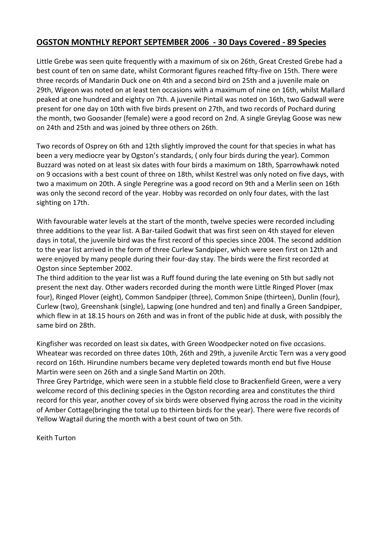### **OGSTON MONTHLY REPORT SEPTEMBER 2006 - 30 Days Covered - 89 Species**

Little Grebe was seen quite frequently with a maximum of six on 26th, Great Crested Grebe had a best count of ten on same date, whilst Cormorant figures reached fifty-five on 15th. There were three records of Mandarin Duck one on 4th and a second bird on 25th and a juvenile male on 29th, Wigeon was noted on at least ten occasions with a maximum of nine on 16th, whilst Mallard peaked at one hundred and eighty on 7th. A juvenile Pintail was noted on 16th, two Gadwall were present for one day on 10th with five birds present on 27th, and two records of Pochard during the month, two Goosander (female) were a good record on 2nd. A single Greylag Goose was new on 24th and 25th and was joined by three others on 26th.

Two records of Osprey on 6th and 12th slightly improved the count for that species in what has been a very mediocre year by Ogston's standards, ( only four birds during the year). Common Buzzard was noted on at least six dates with four birds a maximum on 18th, Sparrowhawk noted on 9 occasions with a best count of three on 18th, whilst Kestrel was only noted on five days, with two a maximum on 20th. A single Peregrine was a good record on 9th and a Merlin seen on 16th was only the second record of the year. Hobby was recorded on only four dates, with the last sighting on 17th.

With favourable water levels at the start of the month, twelve species were recorded including three additions to the year list. A Bar-tailed Godwit that was first seen on 4th stayed for eleven days in total, the juvenile bird was the first record of this species since 2004. The second addition to the year list arrived in the form of three Curlew Sandpiper, which were seen first on 12th and were enjoyed by many people during their four-day stay. The birds were the first recorded at Ogston since September 2002.

The third addition to the year list was a Ruff found during the late evening on 5th but sadly not present the next day. Other waders recorded during the month were Little Ringed Plover (max four), Ringed Plover (eight), Common Sandpiper (three), Common Snipe (thirteen), Dunlin (four), Curlew (two), Greenshank (single), Lapwing (one hundred and ten) and finally a Green Sandpiper, which flew in at 18.15 hours on 26th and was in front of the public hide at dusk, with possibly the same bird on 28th.

Kingfisher was recorded on least six dates, with Green Woodpecker noted on five occasions. Wheatear was recorded on three dates 10th, 26th and 29th, a juvenile Arctic Tern was a very good record on 16th. Hirundine numbers became very depleted towards month end but five House Martin were seen on 26th and a single Sand Martin on 20th.

Three Grey Partridge, which were seen in a stubble field close to Brackenfield Green, were a very welcome record of this declining species in the Ogston recording area and constitutes the third record for this year, another covey of six birds were observed flying across the road in the vicinity of Amber Cottage(bringing the total up to thirteen birds for the year). There were five records of Yellow Wagtail during the month with a best count of two on 5th.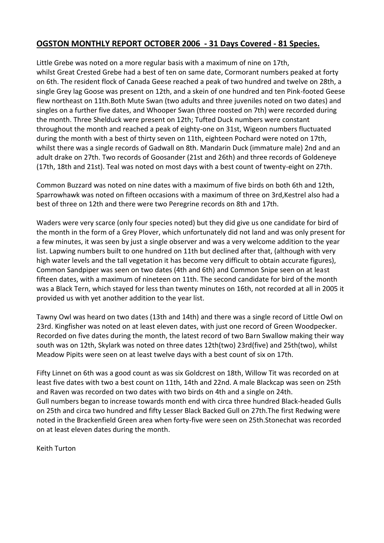#### **OGSTON MONTHLY REPORT OCTOBER 2006 - 31 Days Covered - 81 Species.**

Little Grebe was noted on a more regular basis with a maximum of nine on 17th, whilst Great Crested Grebe had a best of ten on same date, Cormorant numbers peaked at forty on 6th. The resident flock of Canada Geese reached a peak of two hundred and twelve on 28th, a single Grey lag Goose was present on 12th, and a skein of one hundred and ten Pink-footed Geese flew northeast on 11th.Both Mute Swan (two adults and three juveniles noted on two dates) and singles on a further five dates, and Whooper Swan (three roosted on 7th) were recorded during the month. Three Shelduck were present on 12th; Tufted Duck numbers were constant throughout the month and reached a peak of eighty-one on 31st, Wigeon numbers fluctuated during the month with a best of thirty seven on 11th, eighteen Pochard were noted on 17th, whilst there was a single records of Gadwall on 8th. Mandarin Duck (immature male) 2nd and an adult drake on 27th. Two records of Goosander (21st and 26th) and three records of Goldeneye (17th, 18th and 21st). Teal was noted on most days with a best count of twenty-eight on 27th.

Common Buzzard was noted on nine dates with a maximum of five birds on both 6th and 12th, Sparrowhawk was noted on fifteen occasions with a maximum of three on 3rd,Kestrel also had a best of three on 12th and there were two Peregrine records on 8th and 17th.

Waders were very scarce (only four species noted) but they did give us one candidate for bird of the month in the form of a Grey Plover, which unfortunately did not land and was only present for a few minutes, it was seen by just a single observer and was a very welcome addition to the year list. Lapwing numbers built to one hundred on 11th but declined after that, (although with very high water levels and the tall vegetation it has become very difficult to obtain accurate figures), Common Sandpiper was seen on two dates (4th and 6th) and Common Snipe seen on at least fifteen dates, with a maximum of nineteen on 11th. The second candidate for bird of the month was a Black Tern, which stayed for less than twenty minutes on 16th, not recorded at all in 2005 it provided us with yet another addition to the year list.

Tawny Owl was heard on two dates (13th and 14th) and there was a single record of Little Owl on 23rd. Kingfisher was noted on at least eleven dates, with just one record of Green Woodpecker. Recorded on five dates during the month, the latest record of two Barn Swallow making their way south was on 12th, Skylark was noted on three dates 12th(two) 23rd(five) and 25th(two), whilst Meadow Pipits were seen on at least twelve days with a best count of six on 17th.

Fifty Linnet on 6th was a good count as was six Goldcrest on 18th, Willow Tit was recorded on at least five dates with two a best count on 11th, 14th and 22nd. A male Blackcap was seen on 25th and Raven was recorded on two dates with two birds on 4th and a single on 24th. Gull numbers began to increase towards month end with circa three hundred Black-headed Gulls on 25th and circa two hundred and fifty Lesser Black Backed Gull on 27th.The first Redwing were noted in the Brackenfield Green area when forty-five were seen on 25th.Stonechat was recorded on at least eleven dates during the month.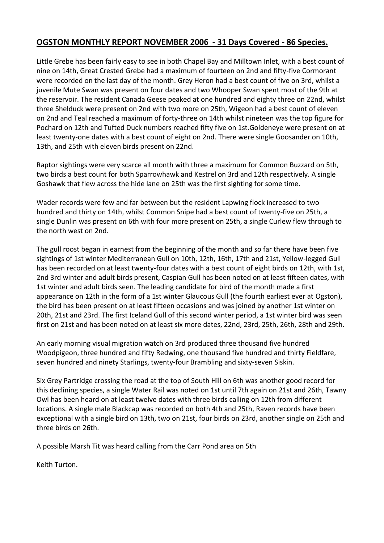# **OGSTON MONTHLY REPORT NOVEMBER 2006 - 31 Days Covered - 86 Species.**

Little Grebe has been fairly easy to see in both Chapel Bay and Milltown Inlet, with a best count of nine on 14th, Great Crested Grebe had a maximum of fourteen on 2nd and fifty-five Cormorant were recorded on the last day of the month. Grey Heron had a best count of five on 3rd, whilst a juvenile Mute Swan was present on four dates and two Whooper Swan spent most of the 9th at the reservoir. The resident Canada Geese peaked at one hundred and eighty three on 22nd, whilst three Shelduck were present on 2nd with two more on 25th, Wigeon had a best count of eleven on 2nd and Teal reached a maximum of forty-three on 14th whilst nineteen was the top figure for Pochard on 12th and Tufted Duck numbers reached fifty five on 1st.Goldeneye were present on at least twenty-one dates with a best count of eight on 2nd. There were single Goosander on 10th, 13th, and 25th with eleven birds present on 22nd.

Raptor sightings were very scarce all month with three a maximum for Common Buzzard on 5th, two birds a best count for both Sparrowhawk and Kestrel on 3rd and 12th respectively. A single Goshawk that flew across the hide lane on 25th was the first sighting for some time.

Wader records were few and far between but the resident Lapwing flock increased to two hundred and thirty on 14th, whilst Common Snipe had a best count of twenty-five on 25th, a single Dunlin was present on 6th with four more present on 25th, a single Curlew flew through to the north west on 2nd.

The gull roost began in earnest from the beginning of the month and so far there have been five sightings of 1st winter Mediterranean Gull on 10th, 12th, 16th, 17th and 21st, Yellow-legged Gull has been recorded on at least twenty-four dates with a best count of eight birds on 12th, with 1st, 2nd 3rd winter and adult birds present, Caspian Gull has been noted on at least fifteen dates, with 1st winter and adult birds seen. The leading candidate for bird of the month made a first appearance on 12th in the form of a 1st winter Glaucous Gull (the fourth earliest ever at Ogston), the bird has been present on at least fifteen occasions and was joined by another 1st winter on 20th, 21st and 23rd. The first Iceland Gull of this second winter period, a 1st winter bird was seen first on 21st and has been noted on at least six more dates, 22nd, 23rd, 25th, 26th, 28th and 29th.

An early morning visual migration watch on 3rd produced three thousand five hundred Woodpigeon, three hundred and fifty Redwing, one thousand five hundred and thirty Fieldfare, seven hundred and ninety Starlings, twenty-four Brambling and sixty-seven Siskin.

Six Grey Partridge crossing the road at the top of South Hill on 6th was another good record for this declining species, a single Water Rail was noted on 1st until 7th again on 21st and 26th, Tawny Owl has been heard on at least twelve dates with three birds calling on 12th from different locations. A single male Blackcap was recorded on both 4th and 25th, Raven records have been exceptional with a single bird on 13th, two on 21st, four birds on 23rd, another single on 25th and three birds on 26th.

A possible Marsh Tit was heard calling from the Carr Pond area on 5th